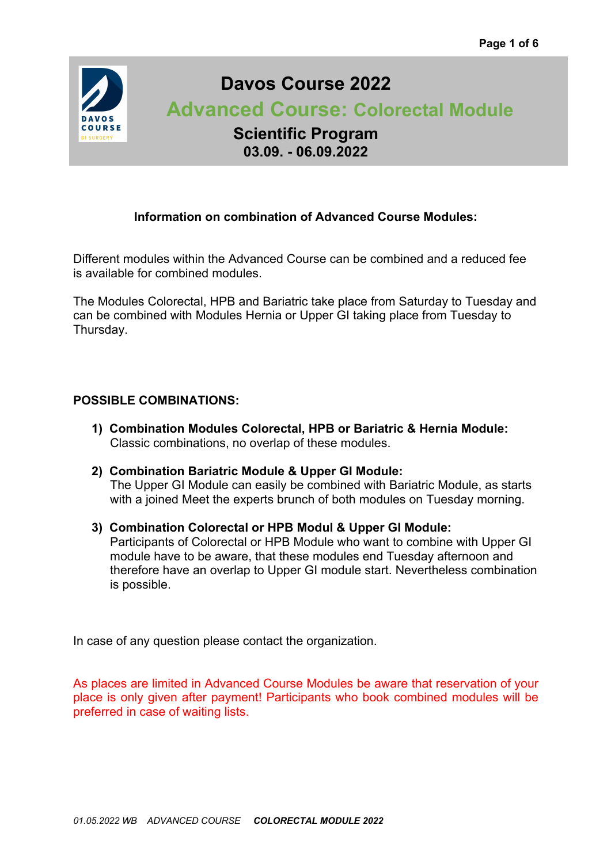

# **Davos Course 2022**

 **Advanced Course: Colorectal Module**

**Scientific Program 03.09. - 06.09.2022**

# **Information on combination of Advanced Course Modules:**

Different modules within the Advanced Course can be combined and a reduced fee is available for combined modules.

The Modules Colorectal, HPB and Bariatric take place from Saturday to Tuesday and can be combined with Modules Hernia or Upper GI taking place from Tuesday to Thursday.

# **POSSIBLE COMBINATIONS:**

- **1) Combination Modules Colorectal, HPB or Bariatric & Hernia Module:** Classic combinations, no overlap of these modules.
- **2) Combination Bariatric Module & Upper GI Module:** The Upper GI Module can easily be combined with Bariatric Module, as starts with a joined Meet the experts brunch of both modules on Tuesday morning.
- **3) Combination Colorectal or HPB Modul & Upper GI Module:** Participants of Colorectal or HPB Module who want to combine with Upper GI module have to be aware, that these modules end Tuesday afternoon and therefore have an overlap to Upper GI module start. Nevertheless combination is possible.

In case of any question please contact the organization.

As places are limited in Advanced Course Modules be aware that reservation of your place is only given after payment! Participants who book combined modules will be preferred in case of waiting lists.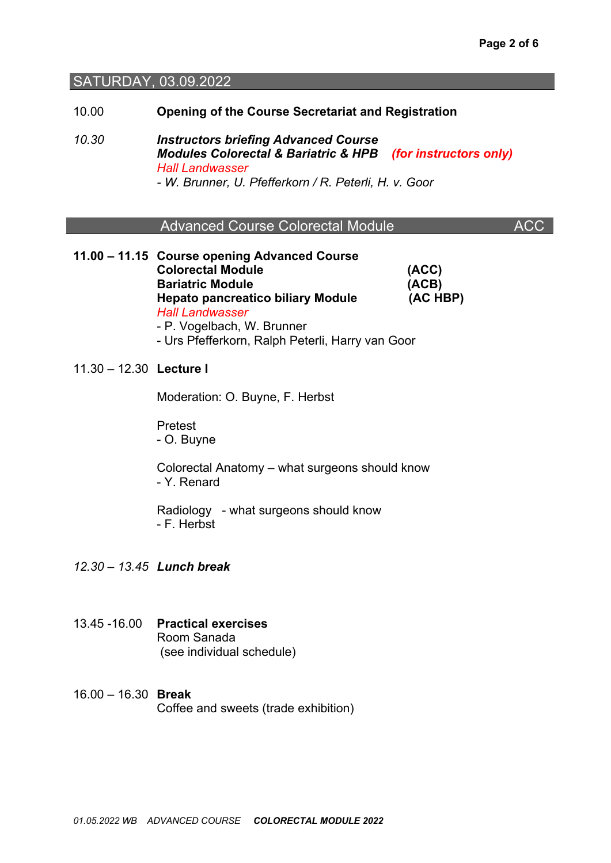#### SATURDAY, 03.09.2022

10.00 **Opening of the Course Secretariat and Registration**

*10.30 Instructors briefing Advanced Course Modules Colorectal & Bariatric & HPB (for instructors only) Hall Landwasser - W. Brunner, U. Pfefferkorn / R. Peterli, H. v. Goor*

|  |  | <b>Advanced Course Colorectal Module</b> | ACC |
|--|--|------------------------------------------|-----|
|--|--|------------------------------------------|-----|

- Urs Pfefferkorn, Ralph Peterli, Harry van Goor

**11.00 – 11.15 Course opening Advanced Course Colorectal Module (ACC) Bariatric Module (ACB) Hepato pancreatico biliary Module (AC HBP)** *Hall Landwasser* - P. Vogelbach, W. Brunner

11.30 – 12.30 **Lecture I**

Moderation: O. Buyne, F. Herbst

Pretest - O. Buyne

Colorectal Anatomy – what surgeons should know - Y. Renard

Radiology - what surgeons should know - F. Herbst

*12.30 – 13.45 Lunch break* 

- 13.45 -16.00 **Practical exercises** Room Sanada (see individual schedule)
- 16.00 16.30 **Break** Coffee and sweets (trade exhibition)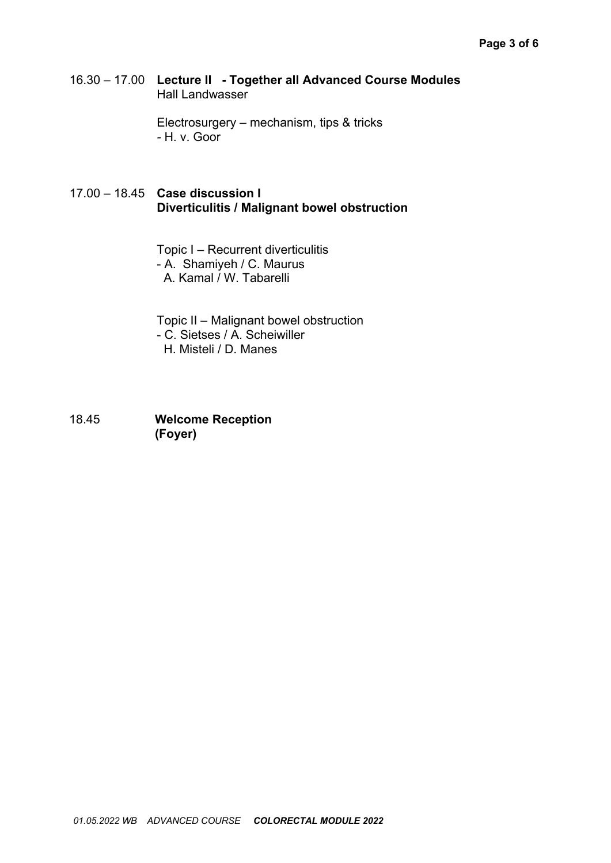16.30 – 17.00 **Lecture II - Together all Advanced Course Modules** Hall Landwasser

> Electrosurgery – mechanism, tips & tricks *-* H. v. Goor

### 17.00 – 18.45 **Case discussion I Diverticulitis / Malignant bowel obstruction**

Topic I – Recurrent diverticulitis - A. Shamiyeh / C. Maurus A. Kamal / W. Tabarelli

Topic II – Malignant bowel obstruction - C. Sietses / A. Scheiwiller H. Misteli / D. Manes

18.45 **Welcome Reception (Foyer)**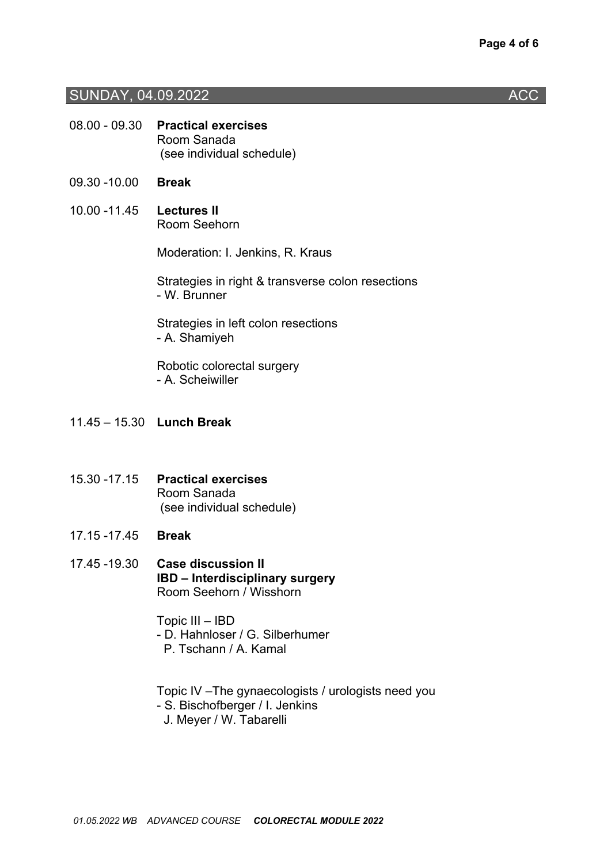### SUNDAY, 04.09.2022 **ACC ACC**

- 08.00 09.30 **Practical exercises** Room Sanada (see individual schedule)
- 09.30 -10.00 **Break**
- 10.00 -11.45 **Lectures II** Room Seehorn

Moderation: I. Jenkins, R. Kraus

Strategies in right & transverse colon resections - W. Brunner

Strategies in left colon resections - A. Shamiyeh

Robotic colorectal surgery - A. Scheiwiller

- 11.45 15.30 **Lunch Break**
- 15.30 -17.15 **Practical exercises** Room Sanada (see individual schedule)
- 17.15 -17.45 **Break**
- 17.45 -19.30 **Case discussion II IBD – Interdisciplinary surgery** Room Seehorn / Wisshorn

Topic III – IBD

- D. Hahnloser / G. Silberhumer
	- P. Tschann / A. Kamal

Topic IV –The gynaecologists / urologists need you

- S. Bischofberger / I. Jenkins
	- J. Meyer / W. Tabarelli

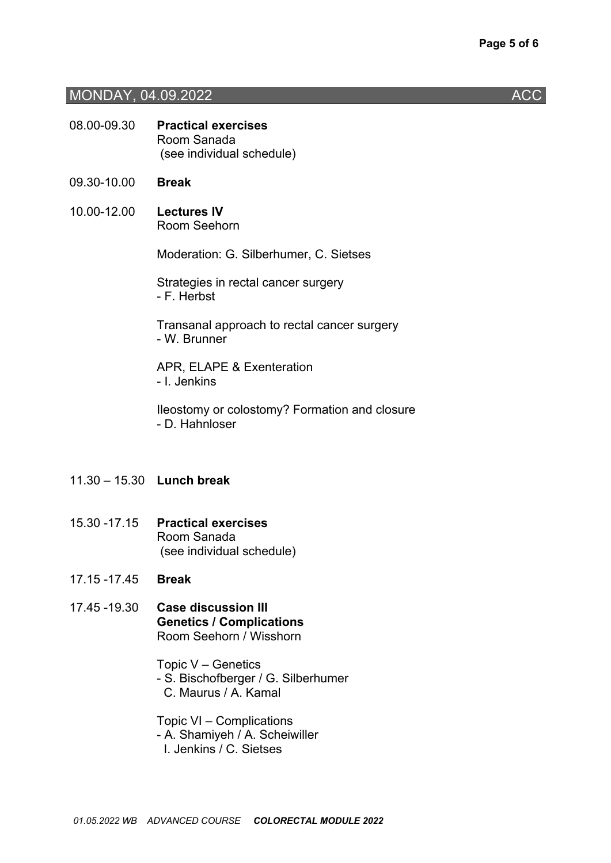#### MONDAY, 04.09.2022 **ACC**

- 08.00-09.30 **Practical exercises** Room Sanada (see individual schedule)
- 09.30-10.00 **Break**
- 10.00-12.00 **Lectures IV** Room Seehorn

Moderation: G. Silberhumer, C. Sietses

Strategies in rectal cancer surgery - F. Herbst

Transanal approach to rectal cancer surgery - W. Brunner

APR, ELAPE & Exenteration - I. Jenkins

Ileostomy or colostomy? Formation and closure - D. Hahnloser

- 11.30 15.30 **Lunch break**
- 15.30 -17.15 **Practical exercises** Room Sanada (see individual schedule)
- 17.15 -17.45 **Break**
- 17.45 -19.30 **Case discussion III Genetics / Complications** Room Seehorn / Wisshorn

Topic V – Genetics - S. Bischofberger / G. Silberhumer C. Maurus / A. Kamal

Topic VI – Complications - A. Shamiyeh / A. Scheiwiller I. Jenkins / C. Sietses